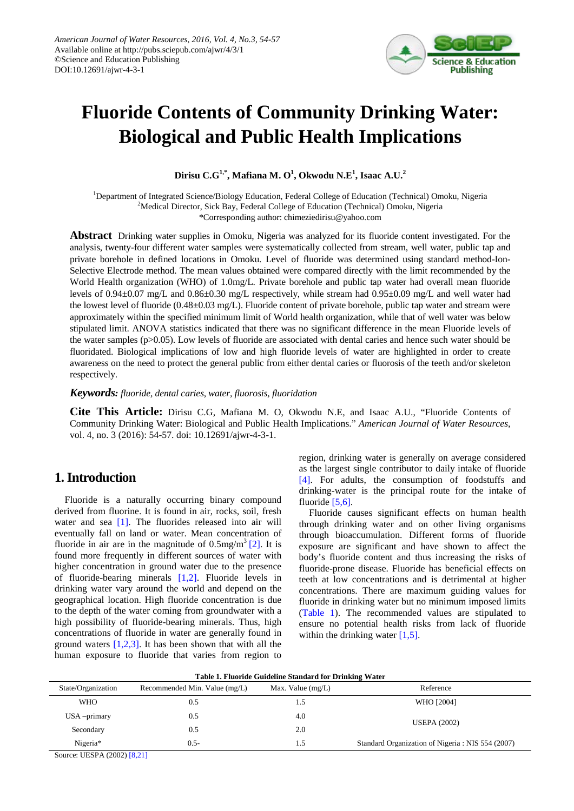

# **Fluoride Contents of Community Drinking Water: Biological and Public Health Implications**

 $\mathbf{Dirisu}\ \mathbf{C.G^{1,*},\ Mafiana}\ \mathbf{M.O^{1},\ Okwodu}\ \mathbf{N.E^{1},\ Isaac}\ \mathbf{A.U.^{2}}$ 

<sup>1</sup>Department of Integrated Science/Biology Education, Federal College of Education (Technical) Omoku, Nigeria <sup>2</sup>Medical Director, Sick Bay, Federal College of Education (Technical) Omoku, Nigeria

\*Corresponding author: chimeziedirisu@yahoo.com

**Abstract** Drinking water supplies in Omoku, Nigeria was analyzed for its fluoride content investigated. For the analysis, twenty-four different water samples were systematically collected from stream, well water, public tap and private borehole in defined locations in Omoku. Level of fluoride was determined using standard method-Ion-Selective Electrode method. The mean values obtained were compared directly with the limit recommended by the World Health organization (WHO) of 1.0mg/L. Private borehole and public tap water had overall mean fluoride levels of 0.94±0.07 mg/L and 0.86±0.30 mg/L respectively, while stream had 0.95±0.09 mg/L and well water had the lowest level of fluoride (0.48±0.03 mg/L). Fluoride content of private borehole, public tap water and stream were approximately within the specified minimum limit of World health organization, while that of well water was below stipulated limit. ANOVA statistics indicated that there was no significant difference in the mean Fluoride levels of the water samples (p>0.05). Low levels of fluoride are associated with dental caries and hence such water should be fluoridated. Biological implications of low and high fluoride levels of water are highlighted in order to create awareness on the need to protect the general public from either dental caries or fluorosis of the teeth and/or skeleton respectively.

*Keywords: fluoride, dental caries, water, fluorosis, fluoridation*

**Cite This Article:** Dirisu C.G, Mafiana M. O, Okwodu N.E, and Isaac A.U., "Fluoride Contents of Community Drinking Water: Biological and Public Health Implications." *American Journal of Water Resources*, vol. 4, no. 3 (2016): 54-57. doi: 10.12691/ajwr-4-3-1.

## **1. Introduction**

Fluoride is a naturally occurring binary compound derived from fluorine. It is found in air, rocks, soil, fresh water and sea [\[1\].](#page-3-0) The fluorides released into air will eventually fall on land or water. Mean concentration of fluoride in air are in the magnitude of  $0.5 \text{mg/m}^3$  [2]. It is found more frequently in different sources of water with higher concentration in ground water due to the presence of fluoride-bearing minerals [\[1,2\].](#page-3-0) Fluoride levels in drinking water vary around the world and depend on the geographical location. High fluoride concentration is due to the depth of the water coming from groundwater with a high possibility of fluoride-bearing minerals. Thus, high concentrations of fluoride in water are generally found in ground waters  $[1,2,3]$ . It has been shown that with all the human exposure to fluoride that varies from region to

region, drinking water is generally on average considered as the largest single contributor to daily intake of fluoride [\[4\].](#page-3-2) For adults, the consumption of foodstuffs and drinking-water is the principal route for the intake of fluoride [\[5,6\].](#page-3-3)

Fluoride causes significant effects on human health through drinking water and on other living organisms through bioaccumulation. Different forms of fluoride exposure are significant and have shown to affect the body's fluoride content and thus increasing the risks of fluoride-prone disease. Fluoride has beneficial effects on teeth at low concentrations and is detrimental at higher concentrations. There are maximum guiding values for fluoride in drinking water but no minimum imposed limits [\(Table 1\)](#page-0-0). The recommended values are stipulated to ensure no potential health risks from lack of fluoride within the drinking water  $[1,5]$ .

<span id="page-0-0"></span>

| Table 1. Fluoride Guideline Standard for Drinking Water |                               |                     |                                                  |  |  |
|---------------------------------------------------------|-------------------------------|---------------------|--------------------------------------------------|--|--|
| State/Organization                                      | Recommended Min. Value (mg/L) | Max. Value $(mg/L)$ | Reference                                        |  |  |
| WHO                                                     | 0.5                           | 1.5                 | WHO [2004]                                       |  |  |
| $USA$ -primary                                          | 0.5                           | 4.0                 |                                                  |  |  |
| Secondary                                               | 0.5                           | 2.0                 | <b>USEPA (2002)</b>                              |  |  |
| Nigeria*                                                | $0.5-$                        | 1.5                 | Standard Organization of Nigeria: NIS 554 (2007) |  |  |

Source: UESPA (2002) [\[8,21\]](#page-3-4)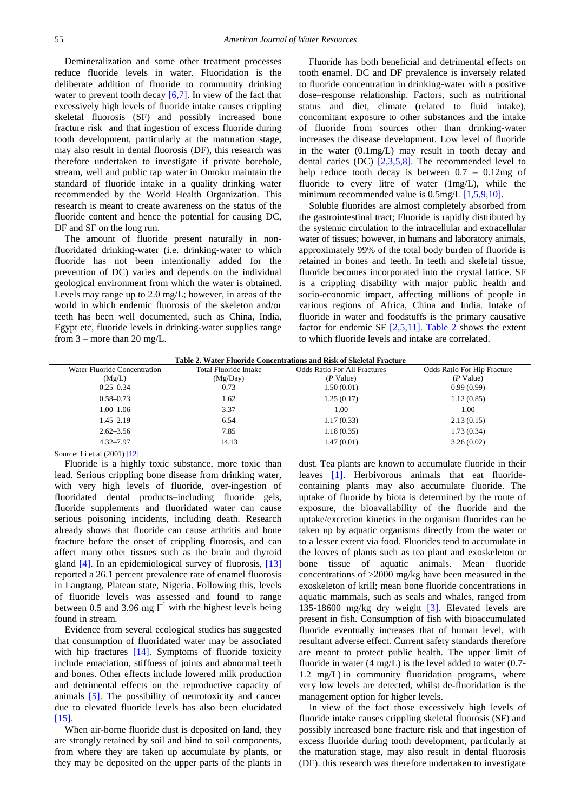Demineralization and some other treatment processes reduce fluoride levels in water. Fluoridation is the deliberate addition of fluoride to community drinking water to prevent tooth decay  $[6,7]$ . In view of the fact that excessively high levels of fluoride intake causes crippling skeletal fluorosis (SF) and possibly increased bone fracture risk and that ingestion of excess fluoride during tooth development, particularly at the maturation stage, may also result in dental fluorosis (DF), this research was therefore undertaken to investigate if private borehole, stream, well and public tap water in Omoku maintain the standard of fluoride intake in a quality drinking water recommended by the World Health Organization. This research is meant to create awareness on the status of the fluoride content and hence the potential for causing DC, DF and SF on the long run.

The amount of fluoride present naturally in nonfluoridated drinking-water (i.e. drinking-water to which fluoride has not been intentionally added for the prevention of DC) varies and depends on the individual geological environment from which the water is obtained. Levels may range up to 2.0 mg/L; however, in areas of the world in which endemic fluorosis of the skeleton and/or teeth has been well documented, such as China, India, Egypt etc, fluoride levels in drinking-water supplies range from 3 – more than 20 mg/L.

Fluoride has both beneficial and detrimental effects on tooth enamel. DC and DF prevalence is inversely related to fluoride concentration in drinking-water with a positive dose–response relationship. Factors, such as nutritional status and diet, climate (related to fluid intake), concomitant exposure to other substances and the intake of fluoride from sources other than drinking-water increases the disease development. Low level of fluoride in the water (0.1mg/L) may result in tooth decay and dental caries (DC)  $[2,3,5,8]$ . The recommended level to help reduce tooth decay is between 0.7 – 0.12mg of fluoride to every litre of water (1mg/L), while the minimum recommended value is 0.5mg/[L \[1,5,9,10\].](#page-3-0)

Soluble fluorides are almost completely absorbed from the gastrointestinal tract; Fluoride is rapidly distributed by the systemic circulation to the intracellular and extracellular water of tissues; however, in humans and laboratory animals, approximately 99% of the total body burden of fluoride is retained in bones and teeth. In teeth and skeletal tissue, fluoride becomes incorporated into the crystal lattice. SF is a crippling disability with major public health and socio-economic impact, affecting millions of people in various regions of Africa, China and India. Intake of fluoride in water and foodstuffs is the primary causative factor for endemic SF [\[2,5,11\].](#page-3-1) [Table 2](#page-1-0) shows the extent to which fluoride levels and intake are correlated.

|  | Table 2. Water Fluoride Concentrations and Risk of Skeletal Fracture |
|--|----------------------------------------------------------------------|
|--|----------------------------------------------------------------------|

<span id="page-1-0"></span>

| Water Fluoride Concentration | Total Fluoride Intake | <b>Odds Ratio For All Fractures</b> | <b>Odds Ratio For Hip Fracture</b> |
|------------------------------|-----------------------|-------------------------------------|------------------------------------|
| (Mg/L)                       | (Mg/Day)              | $(P$ Value)                         | (P Value)                          |
| $0.25 - 0.34$                | 0.73                  | 1.50(0.01)                          | 0.99(0.99)                         |
| $0.58 - 0.73$                | 1.62                  | 1.25(0.17)                          | 1.12(0.85)                         |
| $1.00 - 1.06$                | 3.37                  | 1.00                                | 1.00                               |
| $1.45 - 2.19$                | 6.54                  | 1.17(0.33)                          | 2.13(0.15)                         |
| $2.62 - 3.56$                | 7.85                  | 1.18(0.35)                          | 1.73(0.34)                         |
| $4.32 - 7.97$                | 14.13                 | 1.47(0.01)                          | 3.26(0.02)                         |

Source: Li et al (2001[\) \[12\]](#page-3-6)

Fluoride is a highly toxic substance, more toxic than lead. Serious crippling bone disease from drinking water, with very high levels of fluoride, over-ingestion of fluoridated dental products–including fluoride gels, fluoride supplements and fluoridated water can cause serious poisoning incidents, including death. Research already shows that fluoride can cause arthritis and bone fracture before the onset of crippling fluorosis, and can affect many other tissues such as the brain and thyroid gland [\[4\].](#page-3-2) In an epidemiological survey of fluorosis, [\[13\]](#page-3-7) reported a 26.1 percent prevalence rate of enamel fluorosis in Langtang, Plateau state, Nigeria. Following this, levels of fluoride levels was assessed and found to range between 0.5 and 3.96 mg  $l^{-1}$  with the highest levels being found in stream.

Evidence from several ecological studies has suggested that consumption of fluoridated water may be associated with hip fractures [\[14\].](#page-3-8) Symptoms of fluoride toxicity include emaciation, stiffness of joints and abnormal teeth and bones. Other effects include lowered milk production and detrimental effects on the reproductive capacity of animals [\[5\].](#page-3-3) The possibility of neurotoxicity and cancer due to elevated fluoride levels has also been elucidated [\[15\].](#page-3-9)

When air-borne fluoride dust is deposited on land, they are strongly retained by soil and bind to soil components, from where they are taken up accumulate by plants, or they may be deposited on the upper parts of the plants in dust. Tea plants are known to accumulate fluoride in their leaves [\[1\].](#page-3-0) Herbivorous animals that eat fluoridecontaining plants may also accumulate fluoride. The uptake of fluoride by biota is determined by the route of exposure, the bioavailability of the fluoride and the uptake/excretion kinetics in the organism fluorides can be taken up by aquatic organisms directly from the water or to a lesser extent via food. Fluorides tend to accumulate in the leaves of plants such as tea plant and exoskeleton or bone tissue of aquatic animals. Mean fluoride concentrations of >2000 mg/kg have been measured in the exoskeleton of krill; mean bone fluoride concentrations in aquatic mammals, such as seals and whales, ranged from 135-18600 mg/kg dry weight [\[3\].](#page-3-10) Elevated levels are present in fish. Consumption of fish with bioaccumulated fluoride eventually increases that of human level, with resultant adverse effect. Current safety standards therefore are meant to protect public health. The upper limit of fluoride in water (4 mg/L) is the level added to water (0.7- 1.2 mg/L) in community fluoridation programs, where very low levels are detected, whilst de-fluoridation is the management option for higher levels.

In view of the fact those excessively high levels of fluoride intake causes crippling skeletal fluorosis (SF) and possibly increased bone fracture risk and that ingestion of excess fluoride during tooth development, particularly at the maturation stage, may also result in dental fluorosis (DF). this research was therefore undertaken to investigate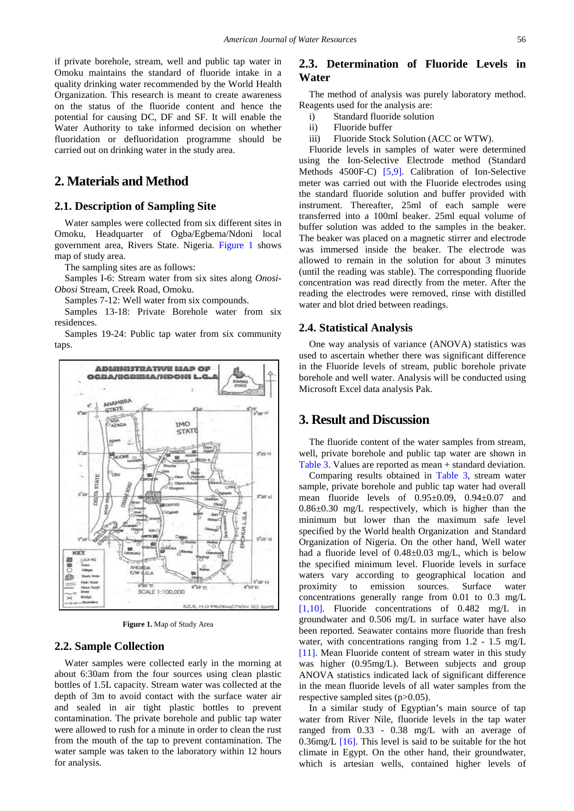if private borehole, stream, well and public tap water in Omoku maintains the standard of fluoride intake in a quality drinking water recommended by the World Health Organization. This research is meant to create awareness on the status of the fluoride content and hence the potential for causing DC, DF and SF. It will enable the Water Authority to take informed decision on whether fluoridation or defluoridation programme should be carried out on drinking water in the study area.

## **2. Materials and Method**

#### **2.1. Description of Sampling Site**

Water samples were collected from six different sites in Omoku, Headquarter of Ogba/Egbema/Ndoni local government area, Rivers State. Nigeria. [Figure 1](#page-2-0) shows map of study area.

The sampling sites are as follows:

Samples I-6: Stream water from six sites along *Onosi-Obosi* Stream, Creek Road, Omoku.

Samples 7-12: Well water from six compounds.

Samples 13-18: Private Borehole water from six residences.

Samples 19-24: Public tap water from six community taps.

<span id="page-2-0"></span>

**Figure 1.** Map of Study Area

#### **2.2. Sample Collection**

Water samples were collected early in the morning at about 6:30am from the four sources using clean plastic bottles of 1.5L capacity. Stream water was collected at the depth of 3m to avoid contact with the surface water air and sealed in air tight plastic bottles to prevent contamination. The private borehole and public tap water were allowed to rush for a minute in order to clean the rust from the mouth of the tap to prevent contamination. The water sample was taken to the laboratory within 12 hours for analysis.

### **2.3. Determination of Fluoride Levels in Water**

The method of analysis was purely laboratory method. Reagents used for the analysis are:

- i) Standard fluoride solution
- ii) Fluoride buffer
- iii) Fluoride Stock Solution (ACC or WTW).

Fluoride levels in samples of water were determined using the Ion-Selective Electrode method (Standard Methods 4500F-C) [\[5,9\].](#page-3-3) Calibration of Ion-Selective meter was carried out with the Fluoride electrodes using the standard fluoride solution and buffer provided with instrument. Thereafter, 25ml of each sample were transferred into a 100ml beaker. 25ml equal volume of buffer solution was added to the samples in the beaker. The beaker was placed on a magnetic stirrer and electrode was immersed inside the beaker. The electrode was allowed to remain in the solution for about 3 minutes (until the reading was stable). The corresponding fluoride concentration was read directly from the meter. After the reading the electrodes were removed, rinse with distilled water and blot dried between readings.

#### **2.4. Statistical Analysis**

One way analysis of variance (ANOVA) statistics was used to ascertain whether there was significant difference in the Fluoride levels of stream, public borehole private borehole and well water. Analysis will be conducted using Microsoft Excel data analysis Pak.

### **3. Result and Discussion**

The fluoride content of the water samples from stream, well, private borehole and public tap water are shown in [Table 3.](#page-3-11) Values are reported as mean + standard deviation.

Comparing results obtained in [Table 3,](#page-3-11) stream water sample, private borehole and public tap water had overall mean fluoride levels of 0.95±0.09, 0.94±0.07 and 0.86±0.30 mg/L respectively, which is higher than the minimum but lower than the maximum safe level specified by the World health Organization and Standard Organization of Nigeria. On the other hand, Well water had a fluoride level of 0.48±0.03 mg/L, which is below the specified minimum level. Fluoride levels in surface waters vary according to geographical location and proximity to emission sources. Surface water concentrations generally range from 0.01 to 0.3 mg/L [\[1,10\].](#page-3-0) Fluoride concentrations of 0.482 mg/L in groundwater and 0.506 mg/L in surface water have also been reported. Seawater contains more fluoride than fresh water, with concentrations ranging from 1.2 - 1.5 mg/L [\[11\].](#page-3-12) Mean Fluoride content of stream water in this study was higher (0.95mg/L). Between subjects and group ANOVA statistics indicated lack of significant difference in the mean fluoride levels of all water samples from the respective sampled sites (p>0.05).

In a similar study of Egyptian's main source of tap water from River Nile, fluoride levels in the tap water ranged from 0.33 - 0.38 mg/L with an average of 0.36mg/L [\[16\].](#page-3-13) This level is said to be suitable for the hot climate in Egypt. On the other hand, their groundwater, which is artesian wells, contained higher levels of